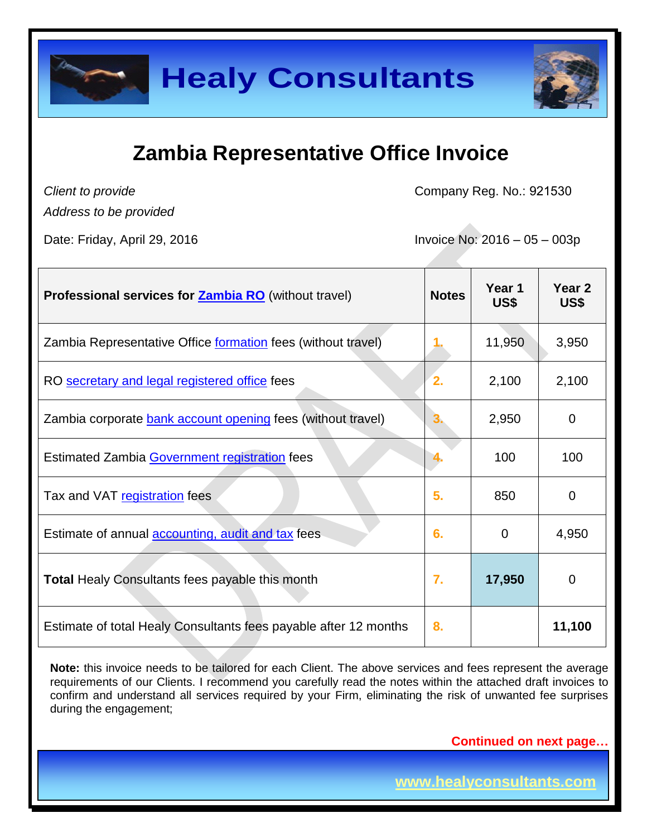

*Client to provide*

Company Reg. No.: 921530

*Address to be provided*

Date: Friday, April 29, 2016 Invoice No: 2016 – 05 – 003p

| <b>Professional services for Zambia RO</b> (without travel)      | <b>Notes</b>     | Year 1<br>US\$ | Year <sub>2</sub><br>US\$ |
|------------------------------------------------------------------|------------------|----------------|---------------------------|
| Zambia Representative Office formation fees (without travel)     |                  | 11,950         | 3,950                     |
| RO secretary and legal registered office fees                    | $\overline{2}$ . | 2,100          | 2,100                     |
| Zambia corporate bank account opening fees (without travel)      | З.               | 2,950          | 0                         |
| Estimated Zambia Government registration fees                    |                  | 100            | 100                       |
| Tax and VAT registration fees                                    | 5.               | 850            | 0                         |
| Estimate of annual <b>accounting</b> , audit and tax fees        | 6.               | 0              | 4,950                     |
| <b>Total Healy Consultants fees payable this month</b>           | $\overline{7}$ . | 17,950         | 0                         |
| Estimate of total Healy Consultants fees payable after 12 months | 8.               |                | 11,100                    |

Note: this invoice needs to be tailored for each Client. The above services and fees represent the average requirements of our Clients. I recommend you carefully read the notes within the attached draft invoices to confirm and understand all services required by your Firm, eliminating the risk of unwanted fee surprises during the engagement;

**Continued on next page…**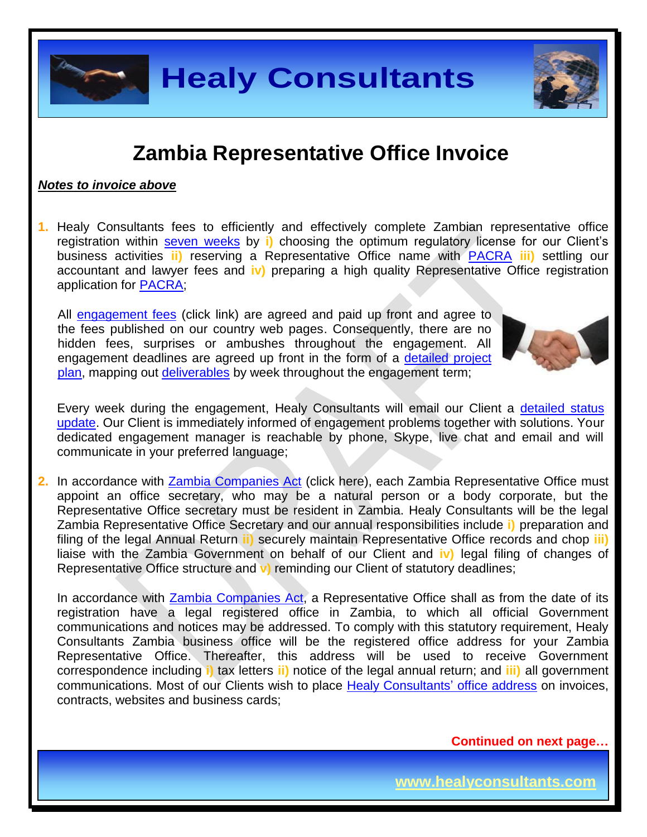### **Zambia Representative Office Invoice**

#### *Notes to invoice above*

**1.** Healy Consultants fees to efficiently and effectively complete Zambian representative office registration within [seven](http://www.healyconsultants.com/zambia-company-registration/fees-timelines/#timelines) weeks by **i)** choosing the optimum regulatory license for our Client's business activities **ii)** reserving a Representative Office name with [PACRA](http://www.pacra.org.zm/) **iii)** settling our accountant and lawyer fees and **iv)** preparing a high quality Representative Office registration application for [PACRA;](http://www.pacra.org.zm/)

All [engagement fees](http://www.healyconsultants.com/company-registration-fees/) (click link) are agreed and paid up front and agree to the fees published on our country web pages. Consequently, there are no hidden fees, surprises or ambushes throughout the engagement. All engagement deadlines are agreed up front in the form of a [detailed project](http://www.healyconsultants.com/index-important-links/example-project-plan/)  [plan,](http://www.healyconsultants.com/index-important-links/example-project-plan/) mapping out [deliverables](http://www.healyconsultants.com/deliverables-to-our-clients/) by week throughout the engagement term;



Every week during the engagement, Healy Consultants will email our Client a detailed status [update.](http://www.healyconsultants.com/index-important-links/weekly-engagement-status-email/) Our Client is immediately informed of engagement problems together with solutions. Your dedicated engagement manager is reachable by phone, Skype, live chat and email and will communicate in your preferred language;

**2.** In accordance with [Zambia Companies Act](http://www.zamlii.org/zm/legislation/consolidated-act/388) (click here), each Zambia Representative Office must appoint an office secretary, who may be a natural person or a body corporate, but the Representative Office secretary must be resident in Zambia. Healy Consultants will be the legal Zambia Representative Office Secretary and our annual responsibilities include **i)** preparation and filing of the legal Annual Return **ii)** securely maintain Representative Office records and chop **iii)** liaise with the Zambia Government on behalf of our Client and **iv)** legal filing of changes of Representative Office structure and **v)** reminding our Client of statutory deadlines;

In accordance with **Zambia Companies Act**, a Representative Office shall as from the date of its registration have a legal registered office in Zambia, to which all official Government communications and notices may be addressed. To comply with this statutory requirement, Healy Consultants Zambia business office will be the registered office address for your Zambia Representative Office. Thereafter, this address will be used to receive Government correspondence including **i)** tax letters **ii)** notice of the legal annual return; and **iii)** all government communications. Most of our Clients wish to place [Healy Consultants'](http://www.healyconsultants.com/corporate-outsourcing-services/company-secretary-and-legal-registered-office/) office address on invoices, contracts, websites and business cards;

**Continued on next page…**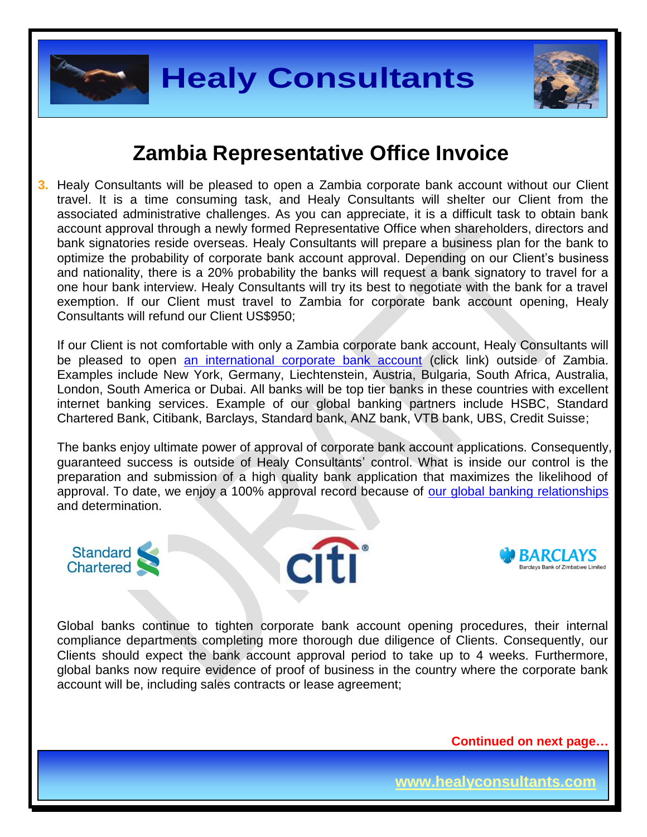



**3.** Healy Consultants will be pleased to open a Zambia corporate bank account without our Client travel. It is a time consuming task, and Healy Consultants will shelter our Client from the associated administrative challenges. As you can appreciate, it is a difficult task to obtain bank account approval through a newly formed Representative Office when shareholders, directors and bank signatories reside overseas. Healy Consultants will prepare a business plan for the bank to optimize the probability of corporate bank account approval. Depending on our Client's business and nationality, there is a 20% probability the banks will request a bank signatory to travel for a one hour bank interview. Healy Consultants will try its best to negotiate with the bank for a travel exemption. If our Client must travel to Zambia for corporate bank account opening, Healy Consultants will refund our Client US\$950;

If our Client is not comfortable with only a Zambia corporate bank account, Healy Consultants will be pleased to open [an international corporate bank account](http://www.healyconsultants.com/international-banking/) (click link) outside of Zambia. Examples include New York, Germany, Liechtenstein, Austria, Bulgaria, South Africa, Australia, London, South America or Dubai. All banks will be top tier banks in these countries with excellent internet banking services. Example of our global banking partners include HSBC, Standard Chartered Bank, Citibank, Barclays, Standard bank, ANZ bank, VTB bank, UBS, Credit Suisse;

The banks enjoy ultimate power of approval of corporate bank account applications. Consequently, guaranteed success is outside of Healy Consultants' control. What is inside our control is the preparation and submission of a high quality bank application that maximizes the likelihood of approval. To date, we enjoy a 100% approval record because of [our global banking relationships](http://www.healyconsultants.com/international-banking/corporate-accounts/) and determination.







Global banks continue to tighten corporate bank account opening procedures, their internal compliance departments completing more thorough due diligence of Clients. Consequently, our Clients should expect the bank account approval period to take up to 4 weeks. Furthermore, global banks now require evidence of proof of business in the country where the corporate bank account will be, including sales contracts or lease agreement;

**Continued on next page…**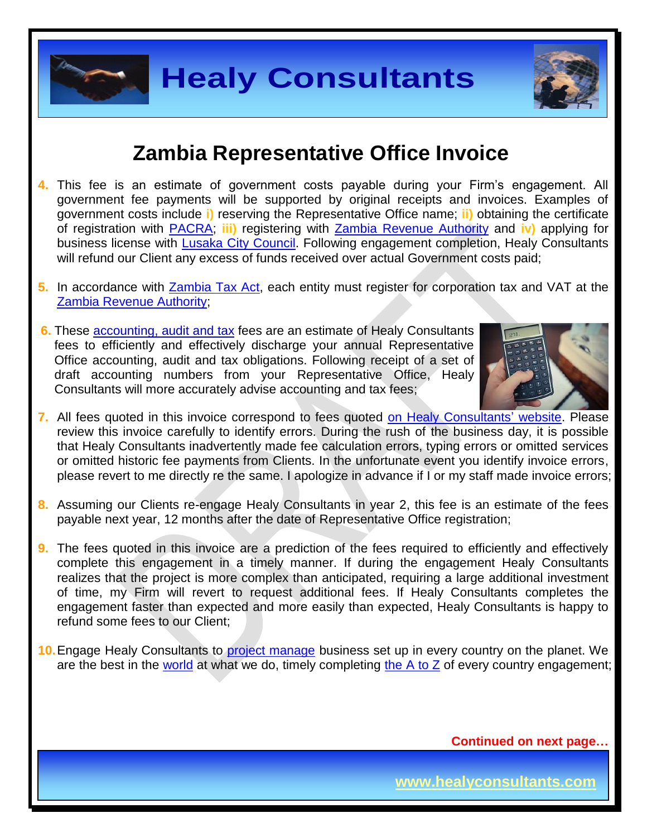

- **4.** This fee is an estimate of government costs payable during your Firm's engagement. All government fee payments will be supported by original receipts and invoices. Examples of government costs include **i)** reserving the Representative Office name; **ii)** obtaining the certificate of registration with [PACRA;](http://www.pacra.org.zm/) **iii)** registering with [Zambia Revenue Authority](https://www.zra.org.zm/) and **iv)** applying for business license with [Lusaka City Council.](http://www.lcc.gov.zm/) Following engagement completion, Healy Consultants will refund our Client any excess of funds received over actual Government costs paid;
- **5.** In accordance with [Zambia Tax Act,](https://track.unodc.org/LegalLibrary/LegalResources/Zambia/Laws/Zambia%20Income%20Tax%20Act%201967%20%28as%20amended%202006%29.pdf) each entity must register for corporation tax and VAT at the [Zambia Revenue Authority;](https://www.zra.org.zm/)
- **6.** These [accounting, audit](http://www.healyconsultants.com/zambia-company-registration/accounting-legal/) and tax fees are an estimate of Healy Consultants fees to efficiently and effectively discharge your annual Representative Office accounting, audit and tax obligations. Following receipt of a set of draft accounting numbers from your Representative Office, Healy Consultants will more accurately advise accounting and tax fees;



- **7.** All fees quoted in this invoice correspond to fees quoted [on Healy Consultants' website.](http://www.healyconsultants.com/company-registration-fees/) Please review this invoice carefully to identify errors. During the rush of the business day, it is possible that Healy Consultants inadvertently made fee calculation errors, typing errors or omitted services or omitted historic fee payments from Clients. In the unfortunate event you identify invoice errors, please revert to me directly re the same. I apologize in advance if I or my staff made invoice errors;
- **8.** Assuming our Clients re-engage Healy Consultants in year 2, this fee is an estimate of the fees payable next year, 12 months after the date of Representative Office registration;
- **9.** The fees quoted in this invoice are a prediction of the fees required to efficiently and effectively complete this engagement in a timely manner. If during the engagement Healy Consultants realizes that the project is more complex than anticipated, requiring a large additional investment of time, my Firm will revert to request additional fees. If Healy Consultants completes the engagement faster than expected and more easily than expected, Healy Consultants is happy to refund some fees to our Client;
- **10.** Engage Healy Consultants to [project manage](http://www.healyconsultants.com/project-manage-engagements/) business set up in every country on the planet. We are the best in the [world](http://www.healyconsultants.com/best-in-the-world/) at what we do, timely completing the  $A$  to  $Z$  of every country engagement;

**Continued on next page…**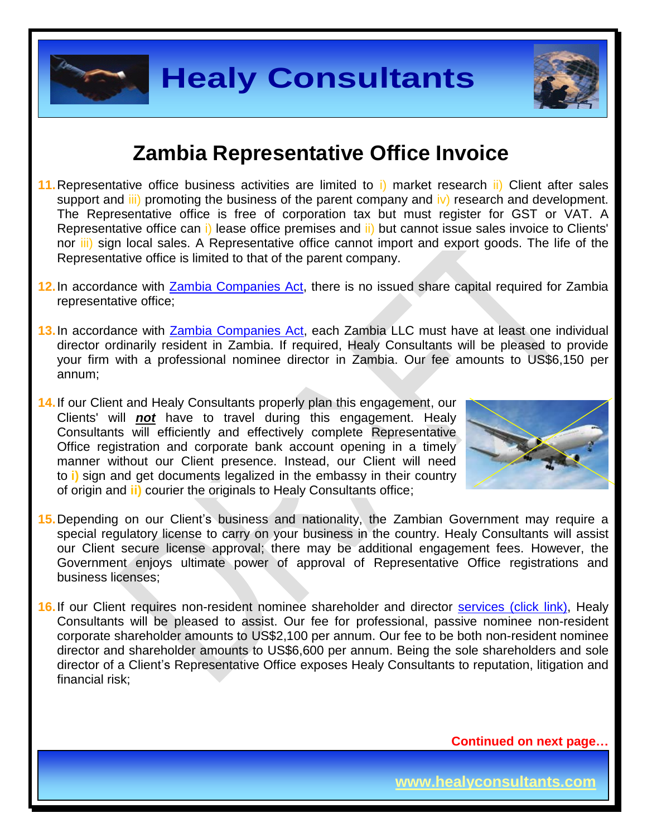

#### **Zambia Representative Office Invoice**

- **11.**Representative office business activities are limited to i) market research ii) Client after sales support and  $\overline{\text{iii}}$  promoting the business of the parent company and  $\overline{\text{iv}}$  research and development. The Representative office is free of corporation tax but must register for GST or VAT. A Representative office can i) lease office premises and ii) but cannot issue sales invoice to Clients' nor *iii*) sign local sales. A Representative office cannot import and export goods. The life of the Representative office is limited to that of the parent company.
- **12.**In accordance with [Zambia Companies Act,](http://www.parliament.gov.zm/downloads/VOLUME%2021.pdf) there is no issued share capital required for Zambia representative office;
- **13.**In accordance with [Zambia Companies Act,](http://www.parliament.gov.zm/downloads/VOLUME%2021.pdf) each Zambia LLC must have at least one individual director ordinarily resident in Zambia. If required, Healy Consultants will be pleased to provide your firm with a professional nominee director in Zambia. Our fee amounts to US\$6,150 per annum;
- **14.**If our Client and Healy Consultants properly plan this engagement, our Clients' will *not* have to travel during this engagement. Healy Consultants will efficiently and effectively complete Representative Office registration and corporate bank account opening in a timely manner without our Client presence. Instead, our Client will need to **i)** sign and get documents legalized in the embassy in their country of origin and **ii)** courier the originals to Healy Consultants office;



- **15.**Depending on our Client's business and nationality, the Zambian Government may require a special regulatory license to carry on your business in the country. Healy Consultants will assist our Client secure license approval; there may be additional engagement fees. However, the Government enjoys ultimate power of approval of Representative Office registrations and business licenses;
- 16. If our Client requires non-resident nominee shareholder and director services [\(click link\),](http://www.healyconsultants.com/corporate-outsourcing-services/nominee-shareholders-directors/) Healy Consultants will be pleased to assist. Our fee for professional, passive nominee non-resident corporate shareholder amounts to US\$2,100 per annum. Our fee to be both non-resident nominee director and shareholder amounts to US\$6,600 per annum. Being the sole shareholders and sole director of a Client's Representative Office exposes Healy Consultants to reputation, litigation and financial risk;

**Continued on next page…**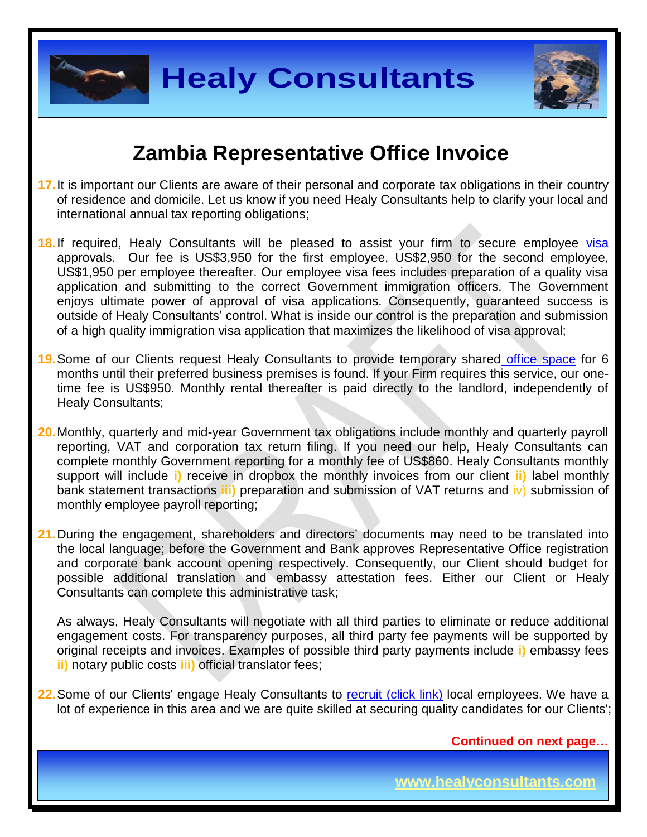



- **17.**It is important our Clients are aware of their personal and corporate tax obligations in their country of residence and domicile. Let us know if you need Healy Consultants help to clarify your local and international annual tax reporting obligations;
- 18. If required, Healy Consultants will be pleased to assist your firm to secure employee [visa](http://www.healyconsultants.com/migration/) approvals. Our fee is US\$3,950 for the first employee, US\$2,950 for the second employee, US\$1,950 per employee thereafter. Our employee visa fees includes preparation of a quality visa application and submitting to the correct Government immigration officers. The Government enjoys ultimate power of approval of visa applications. Consequently, guaranteed success is outside of Healy Consultants' control. What is inside our control is the preparation and submission of a high quality immigration visa application that maximizes the likelihood of visa approval;
- **19.**Some of our Clients request Healy Consultants to provide temporary shared [office space](http://www.healyconsultants.com/virtual-office/) for 6 months until their preferred business premises is found. If your Firm requires this service, our onetime fee is US\$950. Monthly rental thereafter is paid directly to the landlord, independently of Healy Consultants;
- **20.**Monthly, quarterly and mid-year Government tax obligations include monthly and quarterly payroll reporting, VAT and corporation tax return filing. If you need our help, Healy Consultants can complete monthly Government reporting for a monthly fee of US\$860. Healy Consultants monthly support will include **i)** receive in dropbox the monthly invoices from our client **ii)** label monthly bank statement transactions **iii)** preparation and submission of VAT returns and iv) submission of monthly employee payroll reporting;
- **21.**During the engagement, shareholders and directors' documents may need to be translated into the local language; before the Government and Bank approves Representative Office registration and corporate bank account opening respectively. Consequently, our Client should budget for possible additional translation and embassy attestation fees. Either our Client or Healy Consultants can complete this administrative task;

As always, Healy Consultants will negotiate with all third parties to eliminate or reduce additional engagement costs. For transparency purposes, all third party fee payments will be supported by original receipts and invoices. Examples of possible third party payments include **i)** embassy fees **ii)** notary public costs **iii)** official translator fees;

22. Some of our Clients' engage Healy Consultants to [recruit \(click link\)](http://www.healyconsultants.com/corporate-outsourcing-services/how-we-help-our-clients-recruit-quality-employees/) local employees. We have a lot of experience in this area and we are quite skilled at securing quality candidates for our Clients';

**Continued on next page…**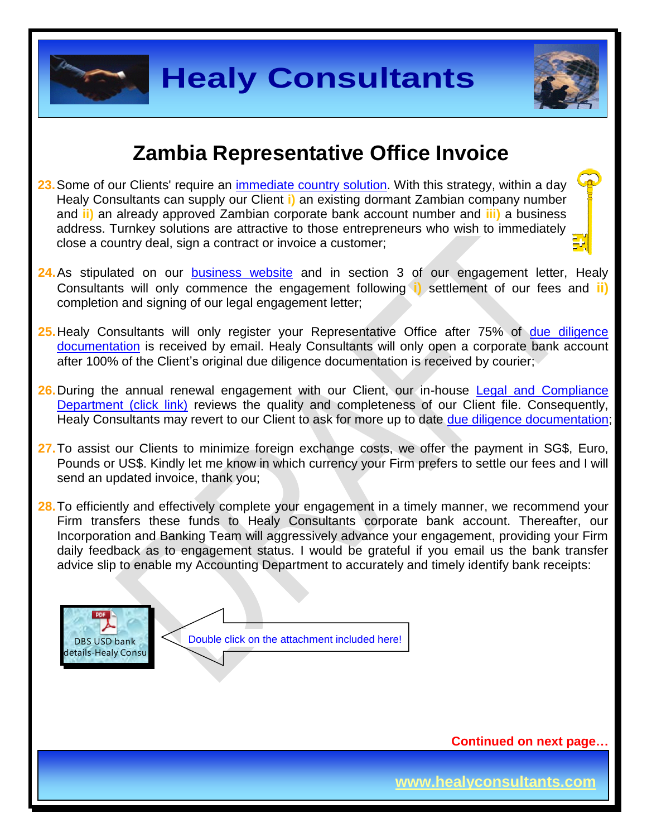### **Zambia Representative Office Invoice**

- **23.** Some of our Clients' require an *immediate country solution*. With this strategy, within a day Healy Consultants can supply our Client **i)** an existing dormant Zambian company number and **ii)** an already approved Zambian corporate bank account number and **iii)** a business address. Turnkey solutions are attractive to those entrepreneurs who wish to immediately close a country deal, sign a contract or invoice a customer;
- **24.**As stipulated on our [business website](http://www.healyconsultants.com/) and in section 3 of our engagement letter, Healy Consultants will only commence the engagement following **i)** settlement of our fees and **ii)** completion and signing of our legal engagement letter;
- **25.**Healy Consultants will only register your Representative Office after 75% of [due diligence](http://www.healyconsultants.com/due-diligence/)  [documentation](http://www.healyconsultants.com/due-diligence/) is received by email. Healy Consultants will only open a corporate bank account after 100% of the Client's original due diligence documentation is received by courier;
- 26. During the annual renewal engagement with our Client, our in-house Legal and Compliance [Department \(click link\)](http://www.healyconsultants.com/about-us/key-personnel/cai-xin-profile/) reviews the quality and completeness of our Client file. Consequently, Healy Consultants may revert to our Client to ask for more up to date [due diligence documentation;](http://www.healyconsultants.com/due-diligence/)
- **27.**To assist our Clients to minimize foreign exchange costs, we offer the payment in SG\$, Euro, Pounds or US\$. Kindly let me know in which currency your Firm prefers to settle our fees and I will send an updated invoice, thank you;
- 28. To efficiently and effectively complete your engagement in a timely manner, we recommend your Firm transfers these funds to Healy Consultants corporate bank account. Thereafter, our Incorporation and Banking Team will aggressively advance your engagement, providing your Firm daily feedback as to engagement status. I would be grateful if you email us the bank transfer advice slip to enable my Accounting Department to accurately and timely identify bank receipts:



Double click on the attachment included here!

**Continued on next page…**